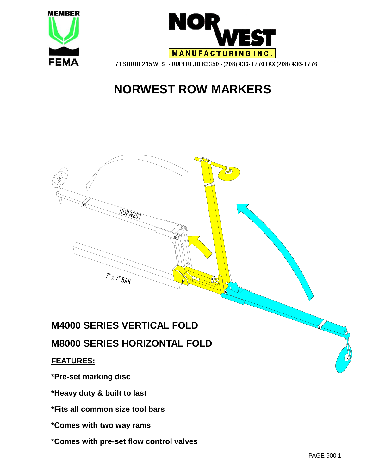



# **NORWEST ROW MARKERS**



**\*Comes with two way rams** 

**\*Comes with pre-set flow control valves**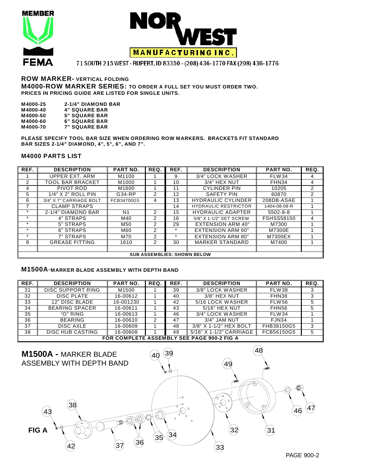





#### **ROW MARKER- VERTICAL FOLDING M4000-ROW MARKER SERIES: TO ORDER A FULL SET YOU MUST ORDER TWO. PRICES IN PRICING GUIDE ARE LISTED FOR SINGLE UNITS.**

| M4000-25 | <b>2-1/4" DIAMOND BAR</b> |
|----------|---------------------------|
| M4000-40 | <b>4" SQUARE BAR</b>      |
| M4000-50 | <b>5" SQUARE BAR</b>      |
| M4000-60 | <b>6" SQUARE BAR</b>      |
| M4000-70 | <b>7" SQUARE BAR</b>      |

**PLEASE SPECIFY TOOL BAR SIZE WHEN ORDERING ROW MARKERS. BRACKETS FIT STANDARD BAR SIZES 2-1/4" DIAMOND, 4", 5", 6", AND 7".** 

#### **M4000 PARTS LIST**

| REF.    | <b>DESCRIPTION</b>      | <b>PART NO.</b> | REQ. | REF.    | <b>DESCRIPTION</b>                 | <b>PART NO.</b>   | REQ.           |
|---------|-------------------------|-----------------|------|---------|------------------------------------|-------------------|----------------|
|         | UPPER EXT. ARM          | M1100           |      | 9       | 3/4" LOCK WASHER                   | <b>FLW34</b>      | 4              |
| 2       | TOOL BAR BRACKET        | M1000           |      | 10      | 3/4" HEX NUT                       | FHN34             | 4              |
| 4       | PIVOT ROD               | M1600           |      | 11      | <b>CYLINDER PIN</b>                | 10205             | $\overline{2}$ |
| 5       | $1/4$ " $X$ 2" ROLL PIN | G34-RP          | 2    | 12      | SAFETY PIN                         | 60870             | 2              |
| 6       | 3/4" X 7" CARRIAGE BOLT | FCB34700G5      | 4    | 13      | <b>HYDRAULIC CYLINDER</b>          | 208DB-ASAE        |                |
|         | <b>CLAMP STRAPS</b>     |                 |      | 14      | <b>HYDRAULIC RESTRICTOR</b>        | 1404-08-08-R      |                |
| $\star$ | 2-1/4" DIAMOND BAR      | N <sub>1</sub>  | 2    | 15      | <b>HYDRAULIC ADAPTER</b>           | $5502 - 8 - 8$    |                |
| $\star$ | 4" STRAPS               | M40             | 2    | 16      | 5/8" X 1-1/2" SET SCREW            | <b>FSHSS58150</b> | 4              |
| $\star$ | 5" STRAPS               | M50             | 2    | 29      | <b>EXTENSION ARM 40"</b>           | M7300             |                |
| $\star$ | 6" STRAPS               | M60             | 2    | $\star$ | <b>EXTENSION ARM 60"</b>           | M7300E            |                |
| $\star$ | 7" STRAPS               | M70             | 2    | $\star$ | <b>EXTENSION ARM 80"</b>           | M7300EX           |                |
| 8       | <b>GREASE FITTING</b>   | 1610            | 2    | 30      | <b>MARKER STANDARD</b>             | M7400             |                |
|         |                         |                 |      |         |                                    |                   |                |
|         |                         |                 |      |         | <b>SUB ASSEMBLIES: SHOWN BELOW</b> |                   |                |

#### **M1500A**-**MARKER BLADE ASSEMBLY WITH DEPTH BAND**

| REF. | <b>DESCRIPTION</b>                         | <b>PART NO.</b> | REQ.           | REF. | <b>DESCRIPTION</b>      | <b>PART NO.</b> | REQ. |  |  |  |
|------|--------------------------------------------|-----------------|----------------|------|-------------------------|-----------------|------|--|--|--|
| 31   | DISC SUPPORT RING                          | M1500           |                | 39   | 3/8" LOCK WASHER        | <b>FLW38</b>    | 3    |  |  |  |
| 32   | DISC PLATE                                 | 16-00612        |                | 40   | 3/8" HEX NUT            | FHN38           |      |  |  |  |
| 33   | 12" DISC BLADE                             | 16-001230       |                | 42   | 5/16 LOCK WASHER        | <b>FLW56</b>    |      |  |  |  |
| 34   | <b>BEARING SPACER</b>                      | 16-00611        |                | 43   | 5/16" HEX NUT           | FHN56           | 5    |  |  |  |
| 35   | "O" RING                                   | 16-00613        |                | 46   | 3/4" LOCK WASHER        | FLW34           |      |  |  |  |
| 36   | <b>BEARING</b>                             | 16-00610        | $\overline{2}$ | 47   | 3/4" JAM NUT            | FJN34           |      |  |  |  |
| 37   | <b>DISC AXLE</b>                           | 16-00609        |                | 48   | 3/8" X 1-1/2" HEX BOLT  | FHB38150G5      | 3    |  |  |  |
| 38   | DISC HUB CASTING                           | 16-00608        |                | 49   | 5/16" X 1-1/2" CARRIAGE | FCB56150G5      | 5    |  |  |  |
|      | FOR COMPLETE ASSEMBLY SEE PAGE 900-2 FIG A |                 |                |      |                         |                 |      |  |  |  |

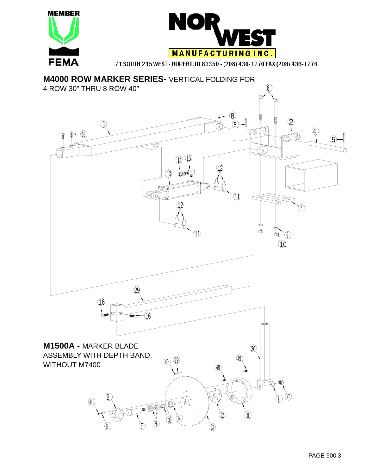



**M4000 ROW MARKER SERIES-** VERTICAL FOLDING FOR 4 ROW 30" THRU 8 ROW 40" 6 8  $\widehat{\mathsf{2}}$  $\left( \left. \right) \right)$ (T را 0. Ø 4 16 ◎ 5 Ø) (6. 15 14 12 13  $\mathcal C$ 11 12 7  $\mathbb{I}$ 11 সূ 10 29 16  $\widehat{10}$ **M1500A -** MARKER BLADE  $(30)$ ASSEMBLY WITH DEPTH BAND,  $(40)$ 49 WITHOUT M740040 P)  $\overline{\Theta}$ yv y ) \ ए JV  $32.$ ν1 w 39) 3*0* 30 30 v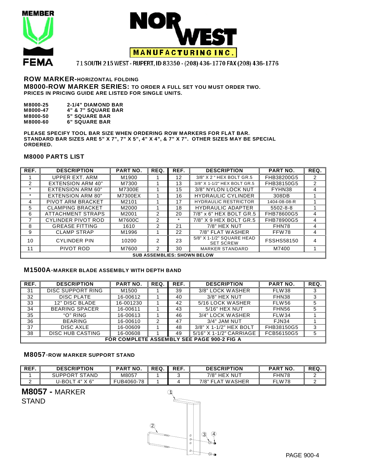



### **ROW MARKER-HORIZONTAL FOLDING M8000-ROW MARKER SERIES: TO ORDER A FULL SET YOU MUST ORDER TWO. PRICES IN PRICING GUIDE ARE LISTED FOR SINGLE UNITS.**

| M8000-25 | <b>2-1/4" DIAMOND BAR</b>     |
|----------|-------------------------------|
| M8000-47 | <b>4" &amp; 7" SQUARE BAR</b> |
| M8000-50 | <b>5" SQUARE BAR</b>          |
| M8000-60 | <b>6" SQUARE BAR</b>          |

**PLEASE SPECIFY TOOL BAR SIZE WHEN ORDERING ROW MARKERS FOR FLAT BAR. STANDARD BAR SIZES ARE 5" X 7", 7" X 5", 4" X 4", & 7" X 7". OTHER SIZES MAY BE SPECIAL ORDERED.** 

#### **M8000 PARTS LIST**

| REF.    | <b>DESCRIPTION</b>       | PART NO. | REQ.           | REF.    | <b>DESCRIPTION</b>                            | <b>PART NO.</b>   | REQ.           |
|---------|--------------------------|----------|----------------|---------|-----------------------------------------------|-------------------|----------------|
|         | UPPER EXT. ARM           | M1900    |                | 12      | 3/8" X 2 " HEX BOLT GR.5                      | FHB38200G5        | 2              |
| 2       | <b>EXTENSION ARM 40"</b> | M7300    |                | 13      | 3/8" X 1-1/2" HEX BOLT GR.5                   | FHB38150G5        | $\overline{2}$ |
| $\star$ | <b>EXTENSION ARM 60"</b> | M7300E   |                | 15      | 3/8" NYLON LOCK NUT                           | FYHN38            | 4              |
| $\star$ | <b>EXTENSION ARM 80"</b> | M7300EX  |                | 16      | <b>HYDRAULIC CYLINDER</b>                     | 308DB             |                |
| 4       | PIVOT ARM BRACKET        | M2101    |                | 17      | <b>HYDRAULIC RESTRICTOR</b>                   | 1404-08-08-R      |                |
| 5.      | <b>CLAMPING BRACKET</b>  | M2000    |                | 18      | <b>HYDRAULIC ADAPTER</b>                      | $5502 - 8 - 8$    |                |
| 6       | ATTACHMENT STRAPS        | M2001    | 2              | 20      | 7/8" x 6" HEX BOLT GR.5                       | FHB78600G5        | 4              |
|         | CYLINDER PIVOT ROD       | M7600C   | 2              | $\star$ | 7/8" X 9 HEX BOLT GR.5                        | FHB78900G5        | 4              |
| 8       | <b>GREASE FITTING</b>    | 1610     | 2              | 21      | 7/8" HEX NUT                                  | FHN78             | 4              |
| 9       | <b>CLAMP STRAP</b>       | M1996    |                | 22      | 7/8" FLAT WASHER                              | FFW78             | 4              |
| 10      | <b>CYLINDER PIN</b>      | 10200    | $\overline{2}$ | 23      | 5/8" X 1-1/2" SQUARE HEAD<br><b>SET SCREW</b> | <b>FSSHS58150</b> | 4              |
| 11      | PIVOT ROD                | M7600    | 2              | 30      | <b>MARKER STANDARD</b>                        | M7400             |                |
|         |                          |          |                |         | <b>SUB ASSEMBLIES: SHOWN BELOW</b>            |                   |                |

## **M1500A**-**MARKER BLADE ASSEMBLY WITH DEPTH BAND**

| REF. | <b>DESCRIPTION</b>                         | <b>PART NO.</b> | REQ. | REF. | <b>DESCRIPTION</b>      | <b>PART NO.</b> | REQ. |  |  |
|------|--------------------------------------------|-----------------|------|------|-------------------------|-----------------|------|--|--|
| 31   | DISC SUPPORT RING                          | M1500           |      | 39   | 3/8" LOCK WASHER        | FLW38           | 3    |  |  |
| 32   | <b>DISC PLATE</b>                          | 16-00612        |      | 40   | 3/8" HEX NUT            | FHN38           | 3    |  |  |
| 33   | 12" DISC BLADE                             | 16-001230       |      | 42   | 5/16 LOCK WASHER        | FLW56           | 5    |  |  |
| 34   | <b>BEARING SPACER</b>                      | 16-00611        |      | 43   | 5/16" HEX NUT           | FHN56           | 5    |  |  |
| 35   | "O" RING                                   | 16-00613        |      | 46   | 3/4" LOCK WASHER        | <b>FLW34</b>    |      |  |  |
| 36   | <b>BEARING</b>                             | 16-00610        | 2    | 47   | 3/4" JAM NUT            | FJN34           |      |  |  |
| 37   | DISC AXLE                                  | 16-00609        |      | 48   | 3/8" X 1-1/2" HEX BOLT  | FHB38150G5      | 3    |  |  |
| 38   | <b>DISC HUB CASTING</b>                    | 16-00608        |      | 49   | 5/16" X 1-1/2" CARRIAGE | FCB56150G5      | 5    |  |  |
|      | FOR COMPLETE ASSEMBLY SEE PAGE 900-2 FIG A |                 |      |      |                         |                 |      |  |  |

### **M8057**-**ROW MARKER SUPPORT STAND**

| REF. | <b>DESCRIPTION</b>                      | <b>PART NO.</b> | REQ. | REF. | <b>DESCRIPTION</b>     | <b>PART NO.</b> | <b>REQ</b> |
|------|-----------------------------------------|-----------------|------|------|------------------------|-----------------|------------|
|      | <b>STAND</b><br><b>SUPPORT</b>          | M8057           |      |      | 7/8"<br><b>HEX NUT</b> | FHN78           |            |
|      | J-BOL<br>$X_6"$<br>$\mathbf{\Lambda}^n$ | FUB4060-78      |      |      | 7/8" FLAT WASHER       | FLW78           |            |

# **M8057 -** MARKER

**STAND**